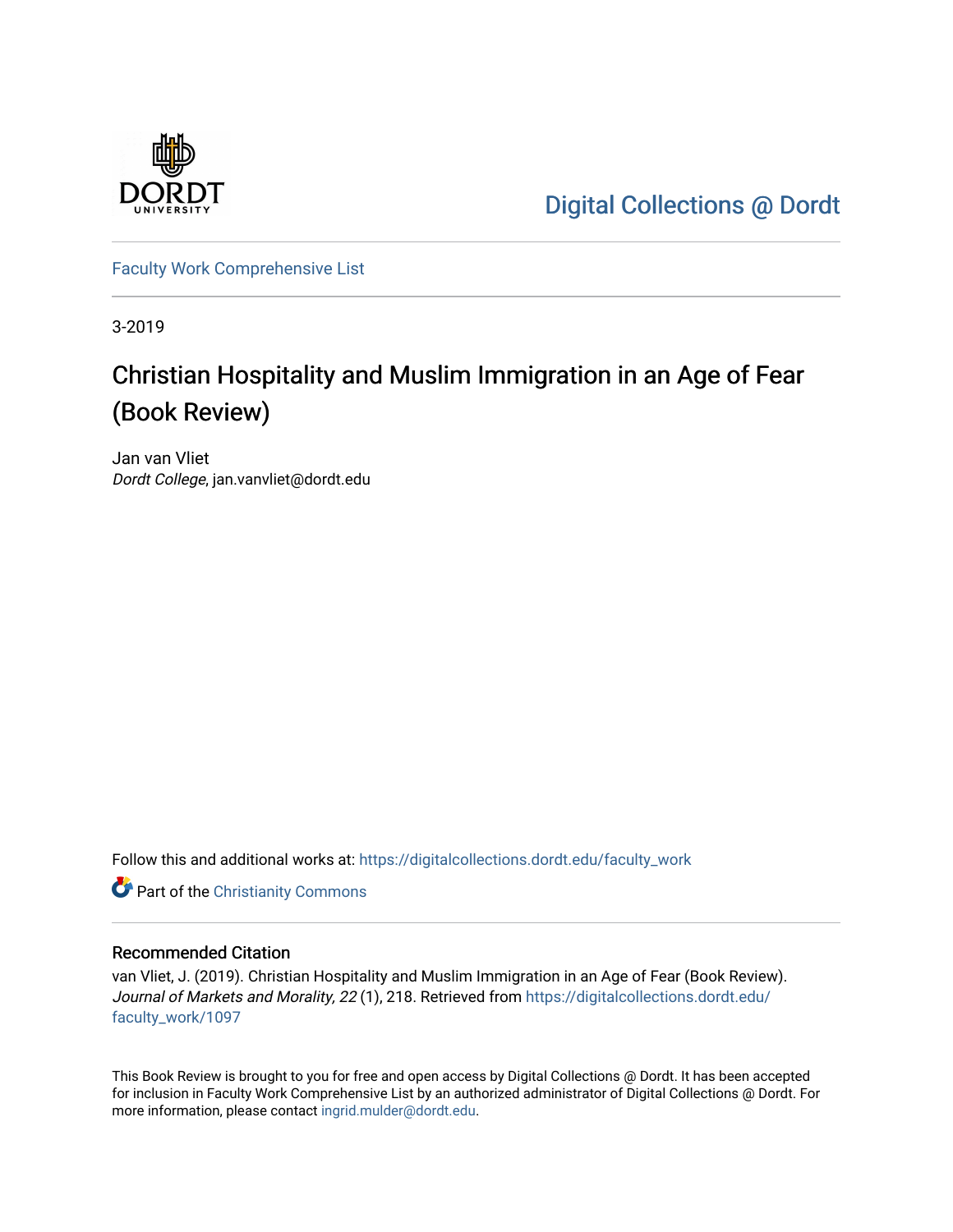

[Digital Collections @ Dordt](https://digitalcollections.dordt.edu/) 

[Faculty Work Comprehensive List](https://digitalcollections.dordt.edu/faculty_work)

3-2019

# Christian Hospitality and Muslim Immigration in an Age of Fear (Book Review)

Jan van Vliet Dordt College, jan.vanvliet@dordt.edu

Follow this and additional works at: [https://digitalcollections.dordt.edu/faculty\\_work](https://digitalcollections.dordt.edu/faculty_work?utm_source=digitalcollections.dordt.edu%2Ffaculty_work%2F1097&utm_medium=PDF&utm_campaign=PDFCoverPages) 

**Part of the Christianity Commons** 

#### Recommended Citation

van Vliet, J. (2019). Christian Hospitality and Muslim Immigration in an Age of Fear (Book Review). Journal of Markets and Morality, 22 (1), 218. Retrieved from [https://digitalcollections.dordt.edu/](https://digitalcollections.dordt.edu/faculty_work/1097?utm_source=digitalcollections.dordt.edu%2Ffaculty_work%2F1097&utm_medium=PDF&utm_campaign=PDFCoverPages) [faculty\\_work/1097](https://digitalcollections.dordt.edu/faculty_work/1097?utm_source=digitalcollections.dordt.edu%2Ffaculty_work%2F1097&utm_medium=PDF&utm_campaign=PDFCoverPages) 

This Book Review is brought to you for free and open access by Digital Collections @ Dordt. It has been accepted for inclusion in Faculty Work Comprehensive List by an authorized administrator of Digital Collections @ Dordt. For more information, please contact [ingrid.mulder@dordt.edu.](mailto:ingrid.mulder@dordt.edu)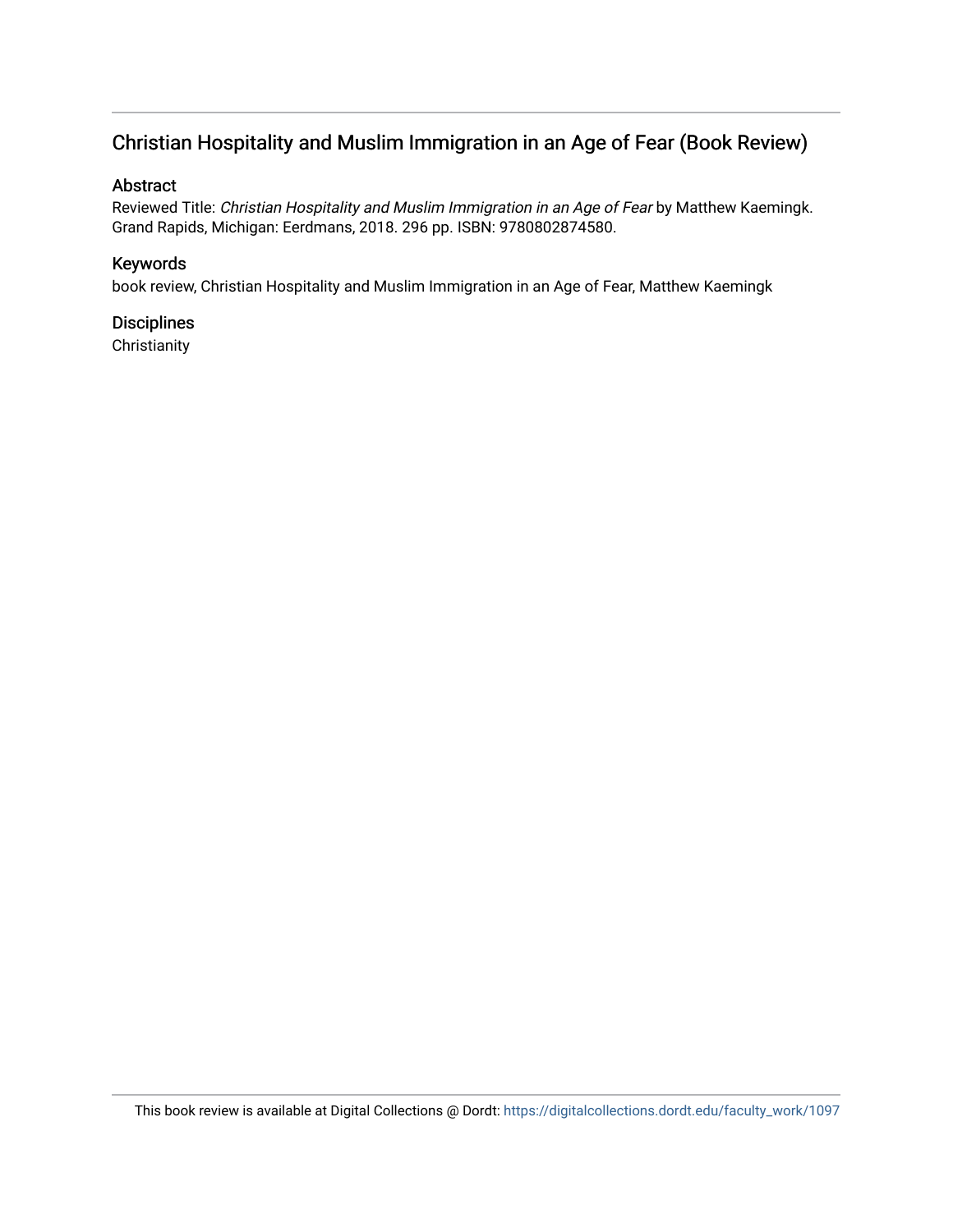## Christian Hospitality and Muslim Immigration in an Age of Fear (Book Review)

### Abstract

Reviewed Title: Christian Hospitality and Muslim Immigration in an Age of Fear by Matthew Kaemingk. Grand Rapids, Michigan: Eerdmans, 2018. 296 pp. ISBN: 9780802874580.

### Keywords

book review, Christian Hospitality and Muslim Immigration in an Age of Fear, Matthew Kaemingk

## **Disciplines**

**Christianity**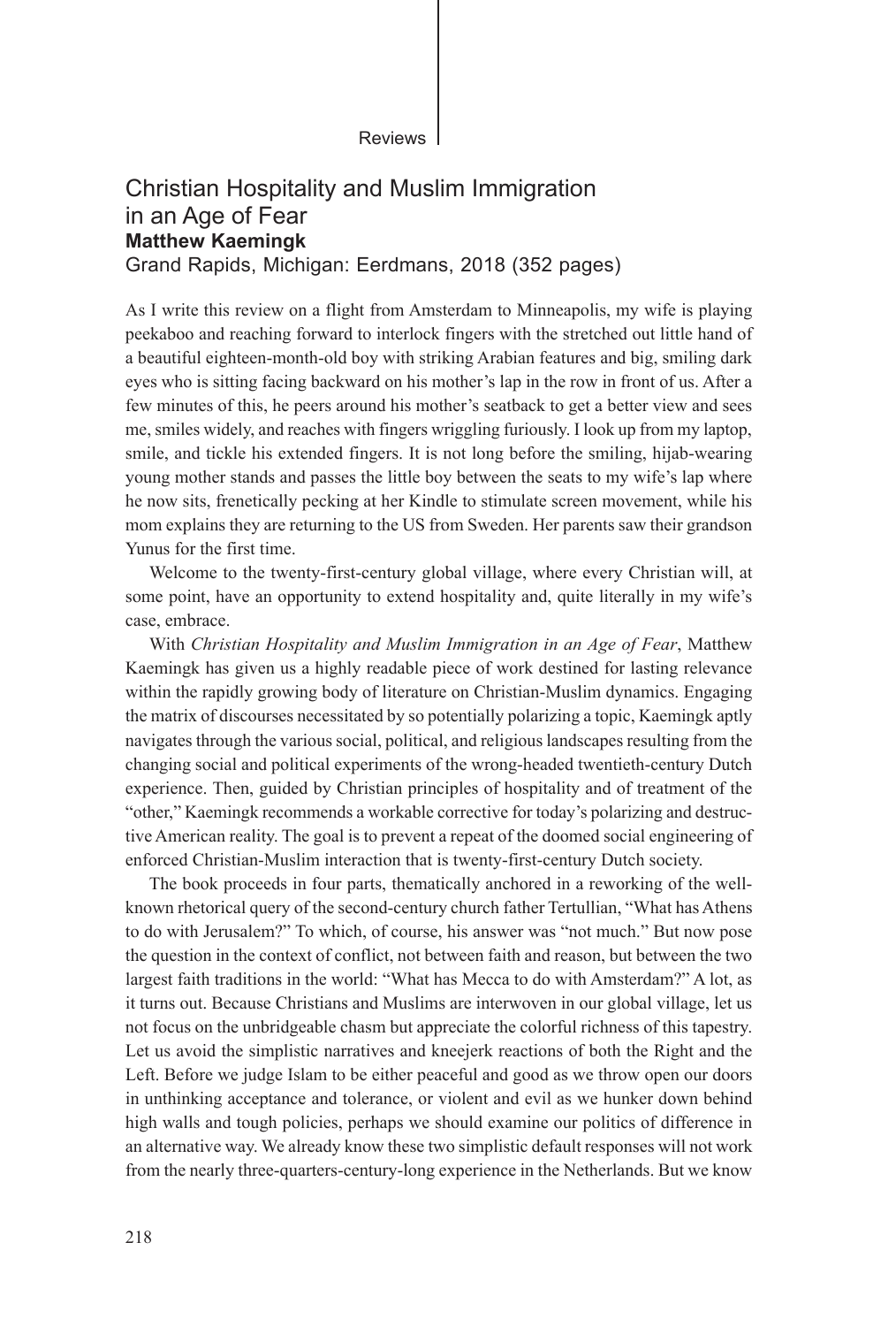Reviews

#### Christian Hospitality and Muslim Immigration in an Age of Fear **Matthew Kaemingk** Grand Rapids, Michigan: Eerdmans, 2018 (352 pages)

As I write this review on a flight from Amsterdam to Minneapolis, my wife is playing peekaboo and reaching forward to interlock fingers with the stretched out little hand of a beautiful eighteen-month-old boy with striking Arabian features and big, smiling dark eyes who is sitting facing backward on his mother's lap in the row in front of us. After a few minutes of this, he peers around his mother's seatback to get a better view and sees me, smiles widely, and reaches with fingers wriggling furiously. I look up from my laptop, smile, and tickle his extended fingers. It is not long before the smiling, hijab-wearing young mother stands and passes the little boy between the seats to my wife's lap where he now sits, frenetically pecking at her Kindle to stimulate screen movement, while his mom explains they are returning to the US from Sweden. Her parents saw their grandson Yunus for the first time.

Welcome to the twenty-first-century global village, where every Christian will, at some point, have an opportunity to extend hospitality and, quite literally in my wife's case, embrace.

With *Christian Hospitality and Muslim Immigration in an Age of Fear*, Matthew Kaemingk has given us a highly readable piece of work destined for lasting relevance within the rapidly growing body of literature on Christian-Muslim dynamics. Engaging the matrix of discourses necessitated by so potentially polarizing a topic, Kaemingk aptly navigates through the various social, political, and religious landscapes resulting from the changing social and political experiments of the wrong-headed twentieth-century Dutch experience. Then, guided by Christian principles of hospitality and of treatment of the "other," Kaemingk recommends a workable corrective for today's polarizing and destructive American reality. The goal is to prevent a repeat of the doomed social engineering of enforced Christian-Muslim interaction that is twenty-first-century Dutch society.

The book proceeds in four parts, thematically anchored in a reworking of the wellknown rhetorical query of the second-century church father Tertullian, "What has Athens to do with Jerusalem?" To which, of course, his answer was "not much." But now pose the question in the context of conflict, not between faith and reason, but between the two largest faith traditions in the world: "What has Mecca to do with Amsterdam?" A lot, as it turns out. Because Christians and Muslims are interwoven in our global village, let us not focus on the unbridgeable chasm but appreciate the colorful richness of this tapestry. Let us avoid the simplistic narratives and kneejerk reactions of both the Right and the Left. Before we judge Islam to be either peaceful and good as we throw open our doors in unthinking acceptance and tolerance, or violent and evil as we hunker down behind high walls and tough policies, perhaps we should examine our politics of difference in an alternative way. We already know these two simplistic default responses will not work from the nearly three-quarters-century-long experience in the Netherlands. But we know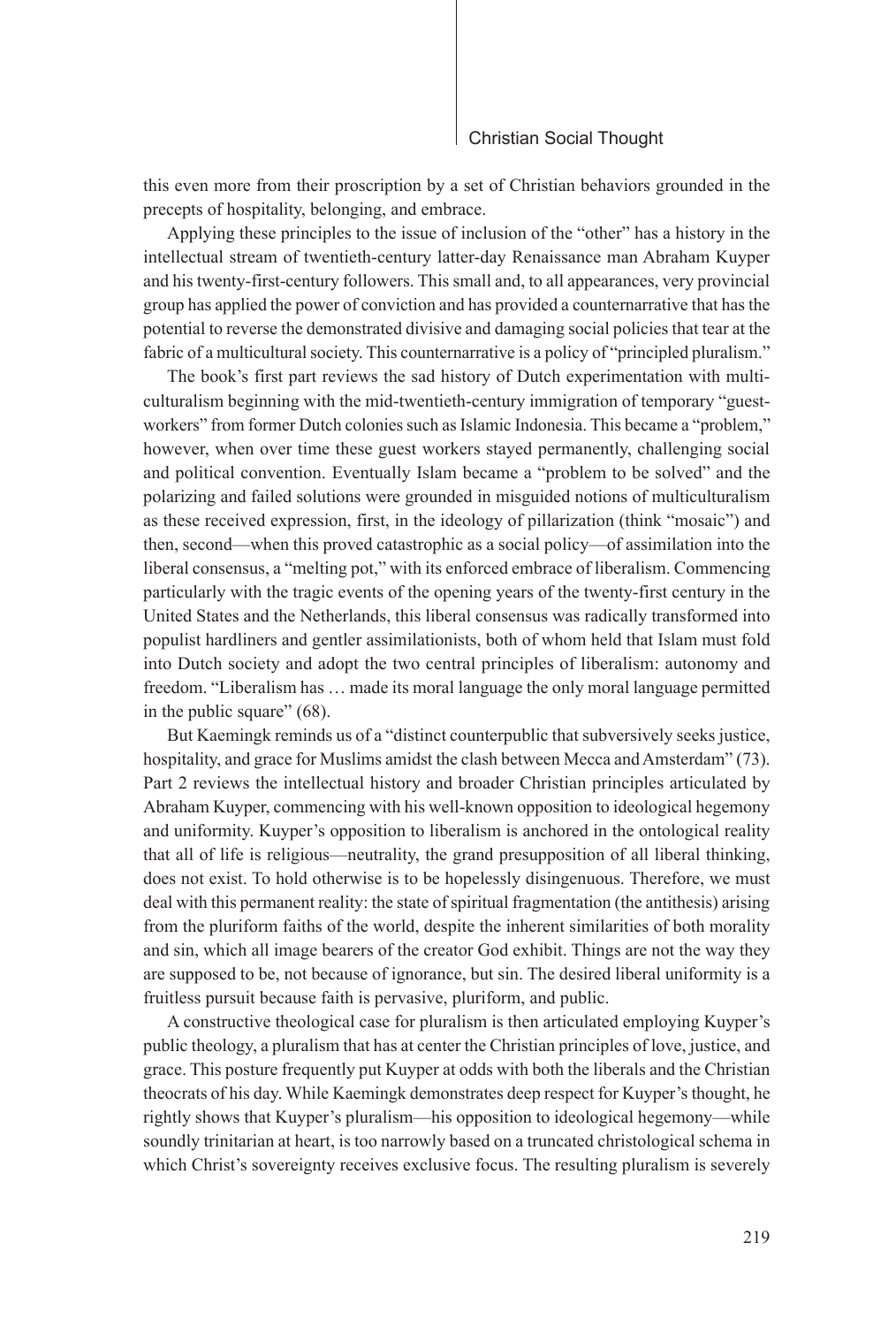#### Christian Social Thought

this even more from their proscription by a set of Christian behaviors grounded in the precepts of hospitality, belonging, and embrace.

Applying these principles to the issue of inclusion of the "other" has a history in the intellectual stream of twentieth-century latter-day Renaissance man Abraham Kuyper and his twenty-first-century followers. This small and, to all appearances, very provincial group has applied the power of conviction and has provided a counternarrative that has the potential to reverse the demonstrated divisive and damaging social policies that tear at the fabric of a multicultural society. This counternarrative is a policy of "principled pluralism."

The book's first part reviews the sad history of Dutch experimentation with multiculturalism beginning with the mid-twentieth-century immigration of temporary "guestworkers" from former Dutch colonies such as Islamic Indonesia. This became a "problem," however, when over time these guest workers stayed permanently, challenging social and political convention. Eventually Islam became a "problem to be solved" and the polarizing and failed solutions were grounded in misguided notions of multiculturalism as these received expression, first, in the ideology of pillarization (think "mosaic") and then, second—when this proved catastrophic as a social policy—of assimilation into the liberal consensus, a "melting pot," with its enforced embrace of liberalism. Commencing particularly with the tragic events of the opening years of the twenty-first century in the United States and the Netherlands, this liberal consensus was radically transformed into populist hardliners and gentler assimilationists, both of whom held that Islam must fold into Dutch society and adopt the two central principles of liberalism: autonomy and freedom. "Liberalism has … made its moral language the only moral language permitted in the public square" (68).

But Kaemingk reminds us of a "distinct counterpublic that subversively seeks justice, hospitality, and grace for Muslims amidst the clash between Mecca and Amsterdam" (73). Part 2 reviews the intellectual history and broader Christian principles articulated by Abraham Kuyper, commencing with his well-known opposition to ideological hegemony and uniformity. Kuyper's opposition to liberalism is anchored in the ontological reality that all of life is religious—neutrality, the grand presupposition of all liberal thinking, does not exist. To hold otherwise is to be hopelessly disingenuous. Therefore, we must deal with this permanent reality: the state of spiritual fragmentation (the antithesis) arising from the pluriform faiths of the world, despite the inherent similarities of both morality and sin, which all image bearers of the creator God exhibit. Things are not the way they are supposed to be, not because of ignorance, but sin. The desired liberal uniformity is a fruitless pursuit because faith is pervasive, pluriform, and public.

A constructive theological case for pluralism is then articulated employing Kuyper's public theology, a pluralism that has at center the Christian principles of love, justice, and grace. This posture frequently put Kuyper at odds with both the liberals and the Christian theocrats of his day. While Kaemingk demonstrates deep respect for Kuyper's thought, he rightly shows that Kuyper's pluralism—his opposition to ideological hegemony—while soundly trinitarian at heart, is too narrowly based on a truncated christological schema in which Christ's sovereignty receives exclusive focus. The resulting pluralism is severely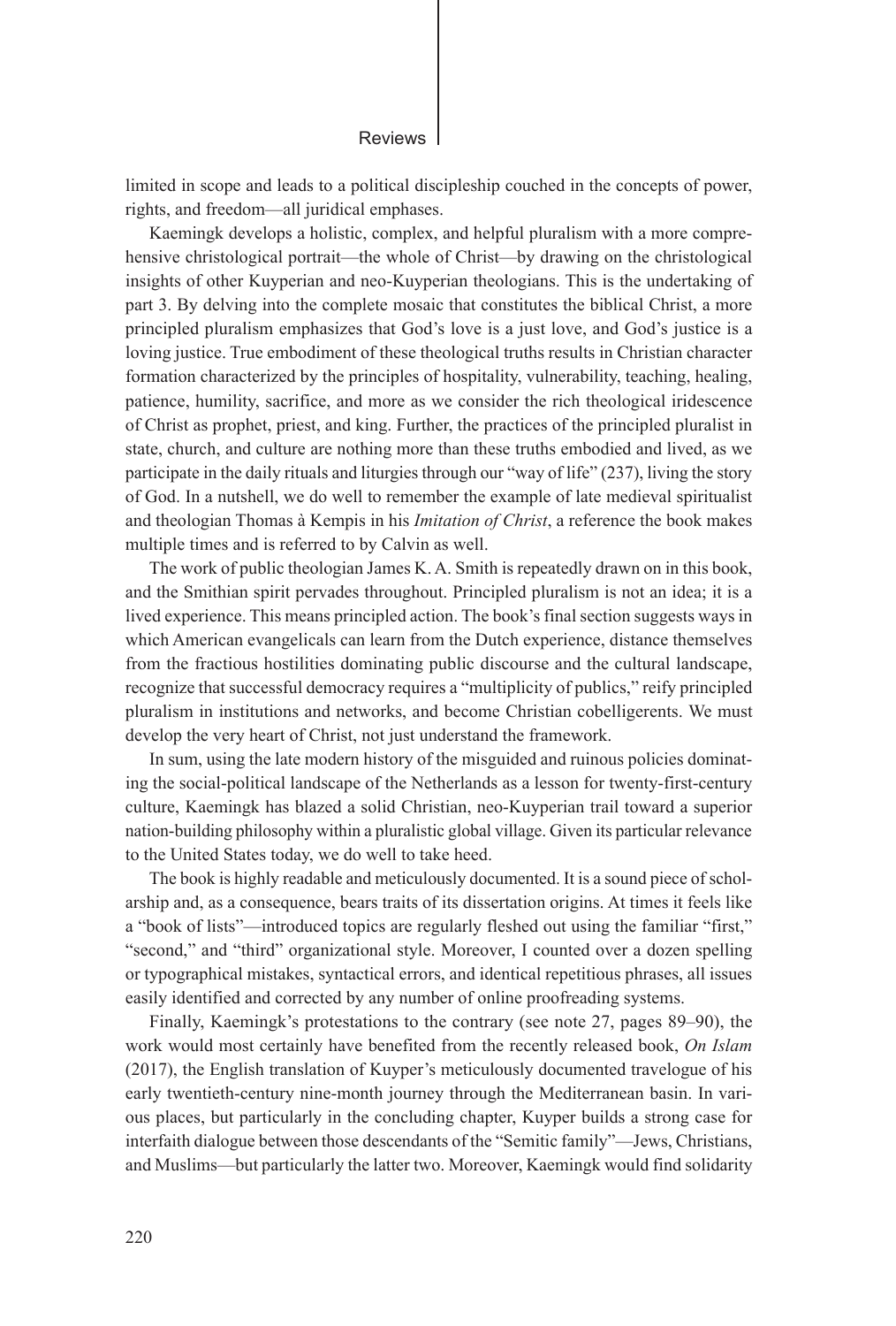#### Reviews

limited in scope and leads to a political discipleship couched in the concepts of power, rights, and freedom—all juridical emphases.

Kaemingk develops a holistic, complex, and helpful pluralism with a more comprehensive christological portrait—the whole of Christ—by drawing on the christological insights of other Kuyperian and neo-Kuyperian theologians. This is the undertaking of part 3. By delving into the complete mosaic that constitutes the biblical Christ, a more principled pluralism emphasizes that God's love is a just love, and God's justice is a loving justice. True embodiment of these theological truths results in Christian character formation characterized by the principles of hospitality, vulnerability, teaching, healing, patience, humility, sacrifice, and more as we consider the rich theological iridescence of Christ as prophet, priest, and king. Further, the practices of the principled pluralist in state, church, and culture are nothing more than these truths embodied and lived, as we participate in the daily rituals and liturgies through our "way of life" (237), living the story of God. In a nutshell, we do well to remember the example of late medieval spiritualist and theologian Thomas à Kempis in his *Imitation of Christ*, a reference the book makes multiple times and is referred to by Calvin as well.

The work of public theologian James K. A. Smith is repeatedly drawn on in this book, and the Smithian spirit pervades throughout. Principled pluralism is not an idea; it is a lived experience. This means principled action. The book's final section suggests ways in which American evangelicals can learn from the Dutch experience, distance themselves from the fractious hostilities dominating public discourse and the cultural landscape, recognize that successful democracy requires a "multiplicity of publics," reify principled pluralism in institutions and networks, and become Christian cobelligerents. We must develop the very heart of Christ, not just understand the framework.

In sum, using the late modern history of the misguided and ruinous policies dominating the social-political landscape of the Netherlands as a lesson for twenty-first-century culture, Kaemingk has blazed a solid Christian, neo-Kuyperian trail toward a superior nation-building philosophy within a pluralistic global village. Given its particular relevance to the United States today, we do well to take heed.

The book is highly readable and meticulously documented. It is a sound piece of scholarship and, as a consequence, bears traits of its dissertation origins. At times it feels like a "book of lists"—introduced topics are regularly fleshed out using the familiar "first," "second," and "third" organizational style. Moreover, I counted over a dozen spelling or typographical mistakes, syntactical errors, and identical repetitious phrases, all issues easily identified and corrected by any number of online proofreading systems.

Finally, Kaemingk's protestations to the contrary (see note 27, pages 89–90), the work would most certainly have benefited from the recently released book, *On Islam* (2017), the English translation of Kuyper's meticulously documented travelogue of his early twentieth-century nine-month journey through the Mediterranean basin. In various places, but particularly in the concluding chapter, Kuyper builds a strong case for interfaith dialogue between those descendants of the "Semitic family"—Jews, Christians, and Muslims—but particularly the latter two. Moreover, Kaemingk would find solidarity